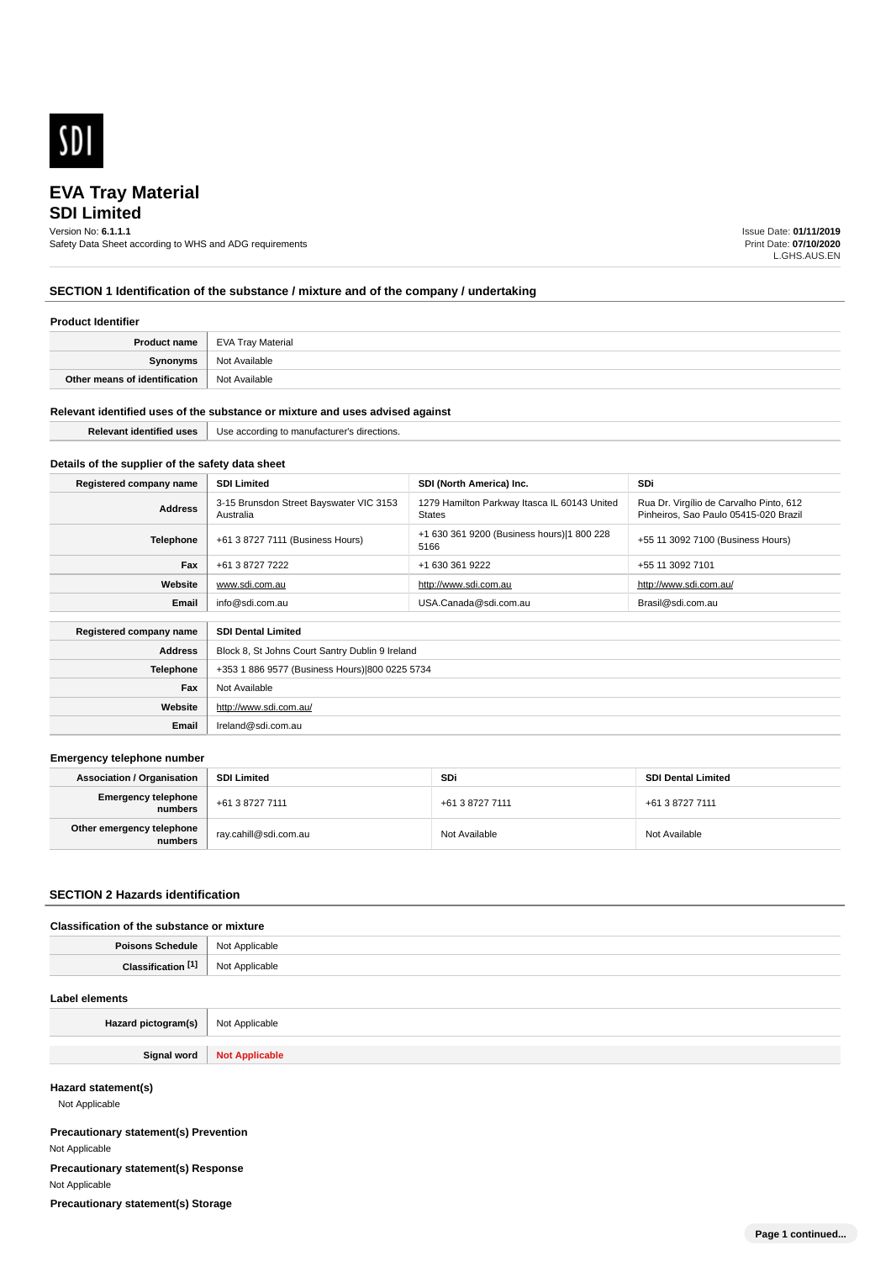

# **EVA Tray Material**

# **SDI Limited**

Version No: **6.1.1.1**

Safety Data Sheet according to WHS and ADG requirements

Issue Date: **01/11/2019** Print Date: **07/10/2020** L.GHS.AUS.EN

# **SECTION 1 Identification of the substance / mixture and of the company / undertaking**

### **Product Identifier**

| <b>Product name</b>           | EVA Tray Material |
|-------------------------------|-------------------|
| Synonyms                      | Not Available     |
| Other means of identification | Not Available     |

#### **Relevant identified uses of the substance or mixture and uses advised against**

| entitiec<br> | USE<br>™ direction⊾<br>ecturei<br>rainc<br>''' |
|--------------|------------------------------------------------|
|              |                                                |

# **Details of the supplier of the safety data sheet**

**Website**

**Email** Ireland@sdi.com.au

http://www.sdi.com.au/

| Registered company name                              | <b>SDI Limited</b>                                   | SDI (North America) Inc.                               | SDi                                                                              |
|------------------------------------------------------|------------------------------------------------------|--------------------------------------------------------|----------------------------------------------------------------------------------|
| <b>Address</b>                                       | 3-15 Brunsdon Street Bayswater VIC 3153<br>Australia | 1279 Hamilton Parkway Itasca IL 60143 United<br>States | Rua Dr. Virgílio de Carvalho Pinto, 612<br>Pinheiros, Sao Paulo 05415-020 Brazil |
| Telephone                                            | +61 3 8727 7111 (Business Hours)                     | +1 630 361 9200 (Business hours) 1 800 228<br>5166     | +55 11 3092 7100 (Business Hours)                                                |
| Fax                                                  | +61 3 8727 7222                                      | +1 630 361 9222                                        | +55 11 3092 7101                                                                 |
| Website                                              | www.sdi.com.au                                       | http://www.sdi.com.au                                  | http://www.sdi.com.au/                                                           |
| Email                                                | info@sdi.com.au                                      | USA.Canada@sdi.com.au                                  | Brasil@sdi.com.au                                                                |
| <b>SDI Dental Limited</b><br>Registered company name |                                                      |                                                        |                                                                                  |
| <b>Address</b>                                       | Block 8, St Johns Court Santry Dublin 9 Ireland      |                                                        |                                                                                  |
| <b>Telephone</b>                                     | +353 1 886 9577 (Business Hours) 800 0225 5734       |                                                        |                                                                                  |
| Fax                                                  | Not Available                                        |                                                        |                                                                                  |

#### **Emergency telephone number**

| <b>Association / Organisation</b>    | <b>SDI Limited</b>      | <b>SDi</b>      | <b>SDI Dental Limited</b> |
|--------------------------------------|-------------------------|-----------------|---------------------------|
| Emergency telephone<br>  numbers     | +61 3 8727 7111         | +61 3 8727 7111 | +61 3 8727 7111           |
| Other emergency telephone<br>numbers | ` ray.cahill@sdi.com.au | Not Available   | Not Available             |

## **SECTION 2 Hazards identification**

## **Classification of the substance or mixture**

| Poisons<br>Schedule     | <b>Not</b><br>: Applicable<br>. |
|-------------------------|---------------------------------|
| <b>PAN</b><br>Clessific | ilicable                        |

#### **Label elements**

| Hazard pictogram(s) | Not Applicable                       |
|---------------------|--------------------------------------|
|                     |                                      |
| Ciano.<br>- - - - - | <b>N<sub>o</sub></b><br>$110017$ ppm |

## **Hazard statement(s)**

Not Applicable

**Precautionary statement(s) Prevention** Not Applicable **Precautionary statement(s) Response** Not Applicable **Precautionary statement(s) Storage**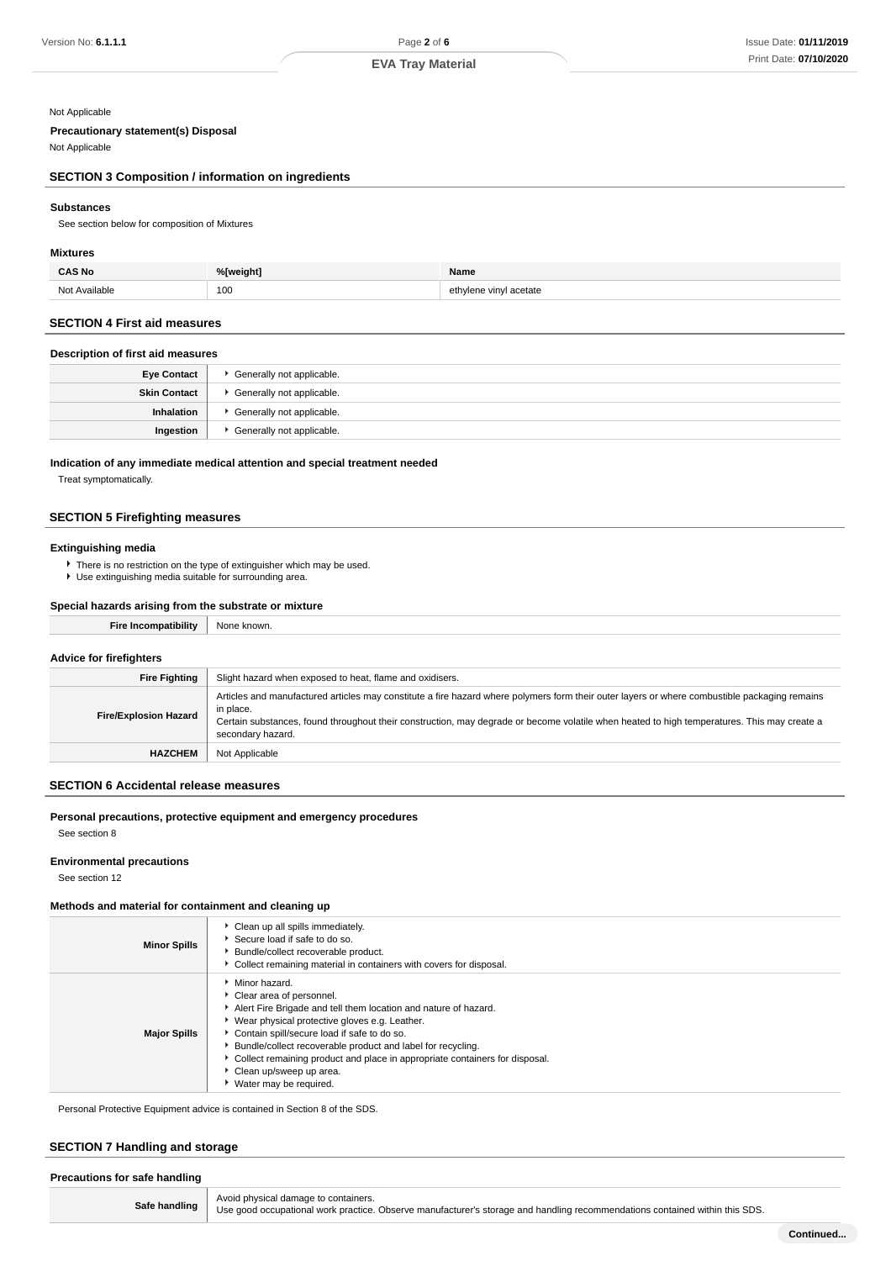## Not Applicable

# **Precautionary statement(s) Disposal**

Not Applicable

# **SECTION 3 Composition / information on ingredients**

#### **Substances**

See section below for composition of Mixtures

## **Mixtures**

| ົAS No                | <sup>o</sup> Tweight | Name                                       |
|-----------------------|----------------------|--------------------------------------------|
| Nl∩<br>^vailable<br>. | 100<br>$ -$          | ∩th<br>∵cetate<br>$v_{\rm{in}}$<br>.<br>__ |

## **SECTION 4 First aid measures**

#### **Description of first aid measures**

| <b>Eye Contact</b>  | Generally not applicable. |
|---------------------|---------------------------|
| <b>Skin Contact</b> | Generally not applicable. |
| Inhalation          | Generally not applicable. |
| Ingestion           | Generally not applicable. |

#### **Indication of any immediate medical attention and special treatment needed**

Treat symptomatically.

## **SECTION 5 Firefighting measures**

# **Extinguishing media**

There is no restriction on the type of extinguisher which may be used. Use extinguishing media suitable for surrounding area.

## **Special hazards arising from the substrate or mixture**

| $-$<br>-- |  |
|-----------|--|
|           |  |

## **Advice for firefighters**

| <b>Fire Fighting</b>         | Slight hazard when exposed to heat, flame and oxidisers.                                                                                                                                                                                                                                                                       |
|------------------------------|--------------------------------------------------------------------------------------------------------------------------------------------------------------------------------------------------------------------------------------------------------------------------------------------------------------------------------|
| <b>Fire/Explosion Hazard</b> | Articles and manufactured articles may constitute a fire hazard where polymers form their outer layers or where combustible packaging remains<br>in place.<br>Certain substances, found throughout their construction, may degrade or become volatile when heated to high temperatures. This may create a<br>secondary hazard. |
| <b>HAZCHEM</b>               | Not Applicable                                                                                                                                                                                                                                                                                                                 |

### **SECTION 6 Accidental release measures**

## **Personal precautions, protective equipment and emergency procedures**

See section 8

# **Environmental precautions**

See section 12

## **Methods and material for containment and cleaning up**

| <b>Minor Spills</b> | Clean up all spills immediately.<br>Secure load if safe to do so.<br>Bundle/collect recoverable product.<br>Collect remaining material in containers with covers for disposal.                                                                                                                                                                                                                                        |
|---------------------|-----------------------------------------------------------------------------------------------------------------------------------------------------------------------------------------------------------------------------------------------------------------------------------------------------------------------------------------------------------------------------------------------------------------------|
| <b>Major Spills</b> | Minor hazard.<br>Clear area of personnel.<br>Alert Fire Brigade and tell them location and nature of hazard.<br>▶ Wear physical protective gloves e.g. Leather.<br>Contain spill/secure load if safe to do so.<br>Bundle/collect recoverable product and label for recycling.<br>• Collect remaining product and place in appropriate containers for disposal.<br>Clean up/sweep up area.<br>▶ Water may be required. |

Personal Protective Equipment advice is contained in Section 8 of the SDS.

# **SECTION 7 Handling and storage**

| Precautions for safe handling |                                                                                                                                                                     |  |
|-------------------------------|---------------------------------------------------------------------------------------------------------------------------------------------------------------------|--|
| Safe handling                 | Avoid physical damage to containers.<br>Use good occupational work practice. Observe manufacturer's storage and handling recommendations contained within this SDS. |  |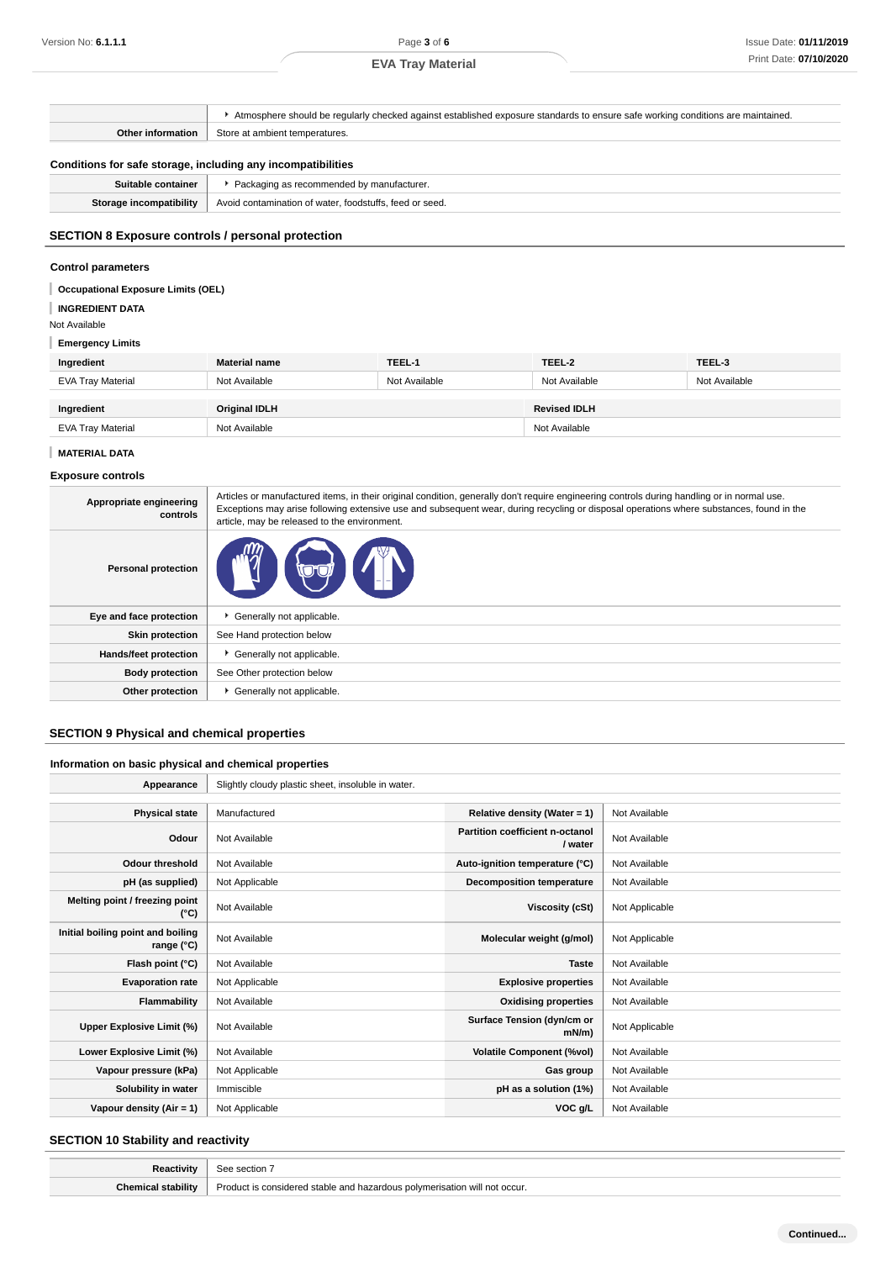# **EVA Tray Material**

Atmosphere should be regularly checked against established exposure standards to ensure safe working conditions are maintained. **Other information** Store at ambient temperatures. **Conditions for safe storage, including any incompatibilities Suitable container Packaging as recommended by manufacturer. Storage incompatibility** Avoid contamination of water, foodstuffs, feed or seed. **SECTION 8 Exposure controls / personal protection Control parameters** I **Occupational Exposure Limits (OEL) INGREDIENT DATA** Not Available **Emergency Limits Ingredient Material name TEEL-1 TEEL-2 TEEL-3** EVA Tray Material Not Available Not Available Not Available Not Available **Ingredient Original IDLH Revised IDLH** EVA Tray Material **Not Available** Not Available Not Available Not Available Not Available **MATERIAL DATA Exposure controls**

| Appropriate engineering<br>controls | Articles or manufactured items, in their original condition, generally don't require engineering controls during handling or in normal use.<br>Exceptions may arise following extensive use and subsequent wear, during recycling or disposal operations where substances, found in the<br>article, may be released to the environment. |
|-------------------------------------|-----------------------------------------------------------------------------------------------------------------------------------------------------------------------------------------------------------------------------------------------------------------------------------------------------------------------------------------|
| <b>Personal protection</b>          |                                                                                                                                                                                                                                                                                                                                         |
| Eye and face protection             | Generally not applicable.                                                                                                                                                                                                                                                                                                               |
| <b>Skin protection</b>              | See Hand protection below                                                                                                                                                                                                                                                                                                               |
| Hands/feet protection               | Generally not applicable.                                                                                                                                                                                                                                                                                                               |
| <b>Body protection</b>              | See Other protection below                                                                                                                                                                                                                                                                                                              |
| Other protection                    | Generally not applicable.                                                                                                                                                                                                                                                                                                               |

# **SECTION 9 Physical and chemical properties**

#### **Information on basic physical and chemical properties**

| Appearance                                      | Slightly cloudy plastic sheet, insoluble in water. |                                            |                |
|-------------------------------------------------|----------------------------------------------------|--------------------------------------------|----------------|
|                                                 |                                                    |                                            |                |
| <b>Physical state</b>                           | Manufactured                                       | Relative density (Water = 1)               | Not Available  |
| Odour                                           | Not Available                                      | Partition coefficient n-octanol<br>/ water | Not Available  |
| <b>Odour threshold</b>                          | Not Available                                      | Auto-ignition temperature (°C)             | Not Available  |
| pH (as supplied)                                | Not Applicable                                     | <b>Decomposition temperature</b>           | Not Available  |
| Melting point / freezing point<br>(°C)          | Not Available                                      | Viscosity (cSt)                            | Not Applicable |
| Initial boiling point and boiling<br>range (°C) | Not Available                                      | Molecular weight (g/mol)                   | Not Applicable |
| Flash point (°C)                                | Not Available                                      | <b>Taste</b>                               | Not Available  |
| <b>Evaporation rate</b>                         | Not Applicable                                     | <b>Explosive properties</b>                | Not Available  |
| Flammability                                    | Not Available                                      | <b>Oxidising properties</b>                | Not Available  |
| Upper Explosive Limit (%)                       | Not Available                                      | Surface Tension (dyn/cm or<br>$mN/m$ )     | Not Applicable |
| Lower Explosive Limit (%)                       | Not Available                                      | <b>Volatile Component (%vol)</b>           | Not Available  |
| Vapour pressure (kPa)                           | Not Applicable                                     | Gas group                                  | Not Available  |
| Solubility in water                             | Immiscible                                         | pH as a solution (1%)                      | Not Available  |
| Vapour density $(Air = 1)$                      | Not Applicable                                     | VOC g/L                                    | Not Available  |

# **SECTION 10 Stability and reactivity**

| Reactivity | section.                                         |
|------------|--------------------------------------------------|
| $\cdots$   | Product is                                       |
| Chemica.   | s considered stable and hazardous polymerisation |
| stability  | not occur.                                       |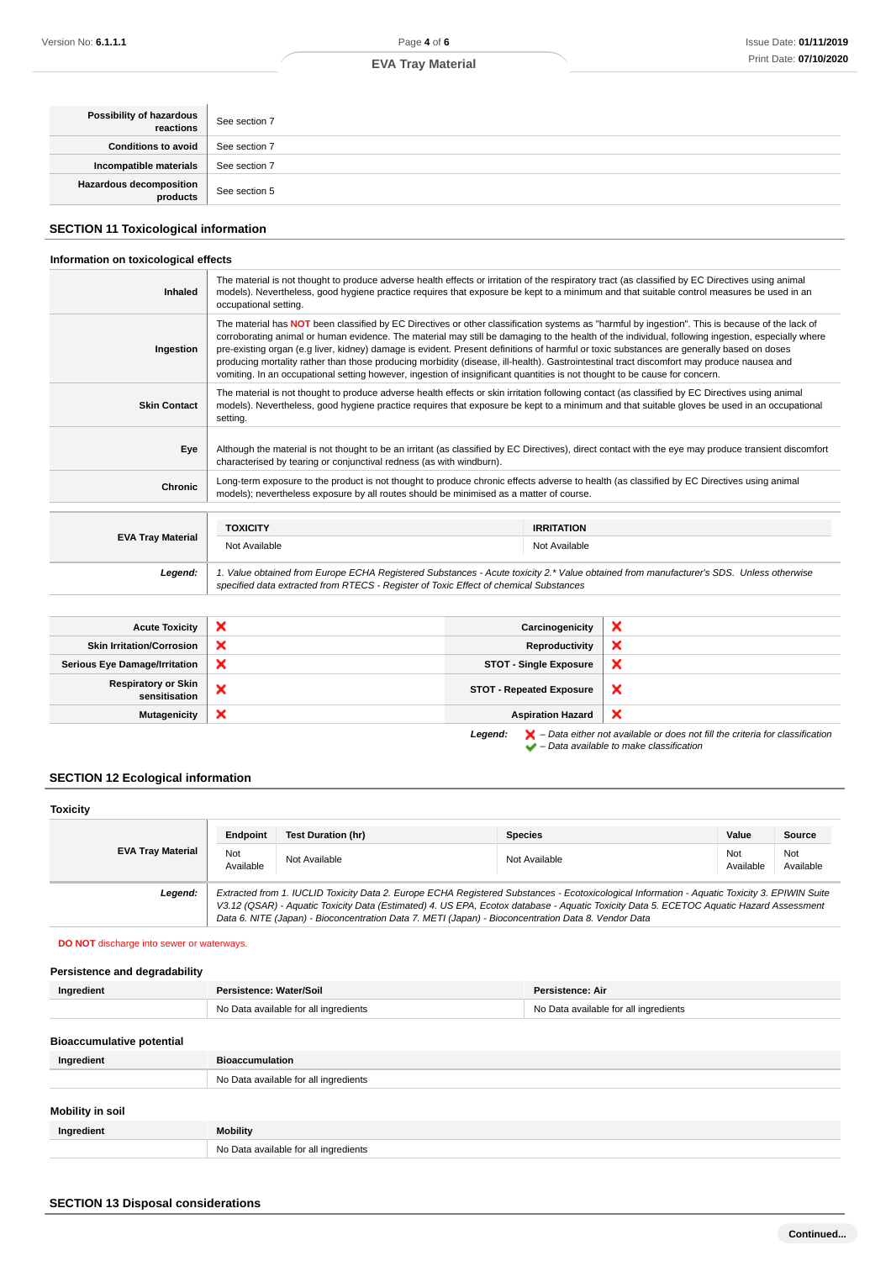# **EVA Tray Material**

| Possibility of hazardous | See section 7 |
|--------------------------|---------------|
| Conditions to avoid      | See section 7 |
| Incompatible materials   | See section 7 |
| Hazardous decomposition  | See section 5 |

# **SECTION 11 Toxicological information**

# **Information on toxicological effects**

| <b>Inhaled</b>           | The material is not thought to produce adverse health effects or irritation of the respiratory tract (as classified by EC Directives using animal<br>models). Nevertheless, good hygiene practice requires that exposure be kept to a minimum and that suitable control measures be used in an<br>occupational setting.                                                                                                                                                                                                                                                                                                                                                                                                       |                                                                                                                                                                                                                                                                                                 |  |
|--------------------------|-------------------------------------------------------------------------------------------------------------------------------------------------------------------------------------------------------------------------------------------------------------------------------------------------------------------------------------------------------------------------------------------------------------------------------------------------------------------------------------------------------------------------------------------------------------------------------------------------------------------------------------------------------------------------------------------------------------------------------|-------------------------------------------------------------------------------------------------------------------------------------------------------------------------------------------------------------------------------------------------------------------------------------------------|--|
| Ingestion                | The material has NOT been classified by EC Directives or other classification systems as "harmful by ingestion". This is because of the lack of<br>corroborating animal or human evidence. The material may still be damaging to the health of the individual, following ingestion, especially where<br>pre-existing organ (e.g liver, kidney) damage is evident. Present definitions of harmful or toxic substances are generally based on doses<br>producing mortality rather than those producing morbidity (disease, ill-health). Gastrointestinal tract discomfort may produce nausea and<br>vomiting. In an occupational setting however, ingestion of insignificant quantities is not thought to be cause for concern. |                                                                                                                                                                                                                                                                                                 |  |
| <b>Skin Contact</b>      | setting.                                                                                                                                                                                                                                                                                                                                                                                                                                                                                                                                                                                                                                                                                                                      | The material is not thought to produce adverse health effects or skin irritation following contact (as classified by EC Directives using animal<br>models). Nevertheless, good hygiene practice requires that exposure be kept to a minimum and that suitable gloves be used in an occupational |  |
| Eye                      | characterised by tearing or conjunctival redness (as with windburn).                                                                                                                                                                                                                                                                                                                                                                                                                                                                                                                                                                                                                                                          | Although the material is not thought to be an irritant (as classified by EC Directives), direct contact with the eye may produce transient discomfort                                                                                                                                           |  |
| Chronic                  | models); nevertheless exposure by all routes should be minimised as a matter of course.                                                                                                                                                                                                                                                                                                                                                                                                                                                                                                                                                                                                                                       | Long-term exposure to the product is not thought to produce chronic effects adverse to health (as classified by EC Directives using animal                                                                                                                                                      |  |
|                          | <b>TOXICITY</b>                                                                                                                                                                                                                                                                                                                                                                                                                                                                                                                                                                                                                                                                                                               | <b>IRRITATION</b>                                                                                                                                                                                                                                                                               |  |
| <b>EVA Tray Material</b> | Not Available                                                                                                                                                                                                                                                                                                                                                                                                                                                                                                                                                                                                                                                                                                                 | Not Available                                                                                                                                                                                                                                                                                   |  |
| Leaend:                  |                                                                                                                                                                                                                                                                                                                                                                                                                                                                                                                                                                                                                                                                                                                               | 1. Value obtained from Europe ECHA Registered Substances - Acute toxicity 2.* Value obtained from manufacturer's SDS. Unless otherwise                                                                                                                                                          |  |

| <b>Acute Toxicity</b>                       | ×                         | Carcinogenicity                 |                                                                                                                                                                     |
|---------------------------------------------|---------------------------|---------------------------------|---------------------------------------------------------------------------------------------------------------------------------------------------------------------|
| <b>Skin Irritation/Corrosion</b>            | ×                         | Reproductivity                  |                                                                                                                                                                     |
| <b>Serious Eye Damage/Irritation</b>        | $\boldsymbol{\mathsf{x}}$ | <b>STOT - Single Exposure</b>   | ∽                                                                                                                                                                   |
| <b>Respiratory or Skin</b><br>sensitisation | ×                         | <b>STOT - Repeated Exposure</b> | ж                                                                                                                                                                   |
| <b>Mutagenicity</b>                         | $\boldsymbol{\mathsf{x}}$ | <b>Aspiration Hazard</b>        | А                                                                                                                                                                   |
|                                             |                           | Legend:                         | $\blacktriangleright$ - Data either not available or does not fill the criteria for classification<br>$\blacktriangleright$ - Data available to make classification |

specified data extracted from RTECS - Register of Toxic Effect of chemical Substances

# **SECTION 12 Ecological information**

| <b>Toxicity</b>          |                  |                                                                                                                                                                                                                                                                                                                                                                                                 |                |                  |                  |
|--------------------------|------------------|-------------------------------------------------------------------------------------------------------------------------------------------------------------------------------------------------------------------------------------------------------------------------------------------------------------------------------------------------------------------------------------------------|----------------|------------------|------------------|
|                          | Endpoint         | <b>Test Duration (hr)</b>                                                                                                                                                                                                                                                                                                                                                                       | <b>Species</b> | Value            | Source           |
| <b>EVA Tray Material</b> | Not<br>Available | Not Available                                                                                                                                                                                                                                                                                                                                                                                   | Not Available  | Not<br>Available | Not<br>Available |
| Legend:                  |                  | Extracted from 1. IUCLID Toxicity Data 2. Europe ECHA Registered Substances - Ecotoxicological Information - Aquatic Toxicity 3. EPIWIN Suite<br>V3.12 (QSAR) - Aquatic Toxicity Data (Estimated) 4. US EPA, Ecotox database - Aquatic Toxicity Data 5. ECETOC Aquatic Hazard Assessment<br>Data 6. NITE (Japan) - Bioconcentration Data 7. METI (Japan) - Bioconcentration Data 8. Vendor Data |                |                  |                  |

# **DO NOT** discharge into sewer or waterways.

| Persistence and degradability    |                                       |                                       |
|----------------------------------|---------------------------------------|---------------------------------------|
| Ingredient                       | Persistence: Water/Soil               | <b>Persistence: Air</b>               |
|                                  | No Data available for all ingredients | No Data available for all ingredients |
|                                  |                                       |                                       |
| <b>Bioaccumulative potential</b> |                                       |                                       |
| Ingredient                       | <b>Bioaccumulation</b>                |                                       |
|                                  | No Data available for all ingredients |                                       |
|                                  |                                       |                                       |
| Mobility in soil                 |                                       |                                       |
| Ingredient                       | <b>Mobility</b>                       |                                       |
|                                  | No Data available for all ingredients |                                       |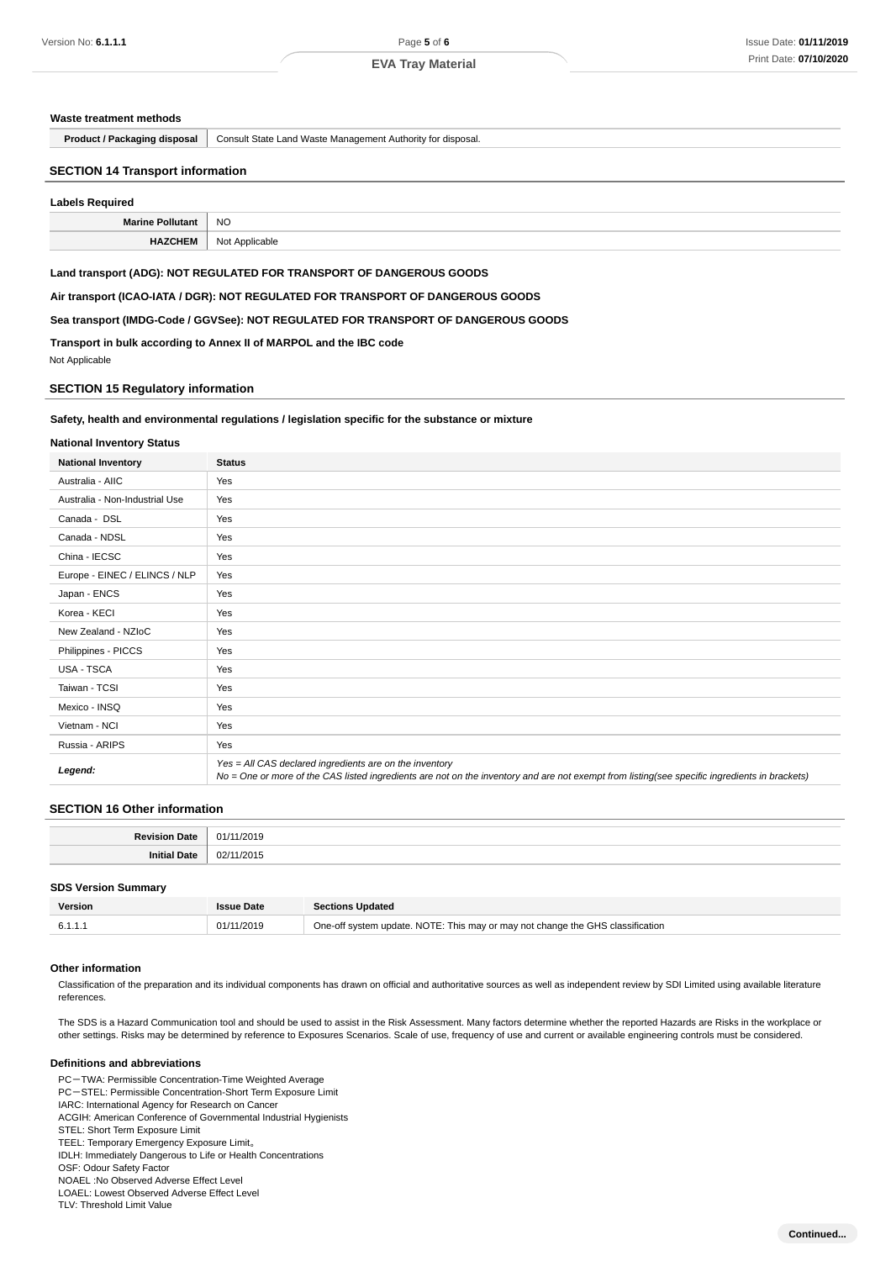#### **Waste treatment methods**

**Product / Packaging disposal** | Consult State Land Waste Management Authority for disposal.

#### **SECTION 14 Transport information**

#### **Labels Required**

| <b>BA.</b><br>лис | <b>NO</b> |
|-------------------|-----------|
|                   | .         |
|                   |           |

## **Land transport (ADG): NOT REGULATED FOR TRANSPORT OF DANGEROUS GOODS**

**Air transport (ICAO-IATA / DGR): NOT REGULATED FOR TRANSPORT OF DANGEROUS GOODS**

**Sea transport (IMDG-Code / GGVSee): NOT REGULATED FOR TRANSPORT OF DANGEROUS GOODS**

**Transport in bulk according to Annex II of MARPOL and the IBC code**

Not Applicable

## **SECTION 15 Regulatory information**

#### **Safety, health and environmental regulations / legislation specific for the substance or mixture**

#### **National Inventory Status**

| <b>National Inventory</b>      | <b>Status</b>                                                                                                                                                                                            |
|--------------------------------|----------------------------------------------------------------------------------------------------------------------------------------------------------------------------------------------------------|
| Australia - AIIC               | Yes                                                                                                                                                                                                      |
| Australia - Non-Industrial Use | Yes                                                                                                                                                                                                      |
| Canada - DSL                   | Yes                                                                                                                                                                                                      |
| Canada - NDSL                  | Yes                                                                                                                                                                                                      |
| China - IECSC                  | Yes                                                                                                                                                                                                      |
| Europe - EINEC / ELINCS / NLP  | Yes                                                                                                                                                                                                      |
| Japan - ENCS                   | Yes                                                                                                                                                                                                      |
| Korea - KECI                   | Yes                                                                                                                                                                                                      |
| New Zealand - NZIoC            | Yes                                                                                                                                                                                                      |
| Philippines - PICCS            | Yes                                                                                                                                                                                                      |
| USA - TSCA                     | Yes                                                                                                                                                                                                      |
| Taiwan - TCSI                  | Yes                                                                                                                                                                                                      |
| Mexico - INSQ                  | Yes                                                                                                                                                                                                      |
| Vietnam - NCI                  | Yes                                                                                                                                                                                                      |
| Russia - ARIPS                 | Yes                                                                                                                                                                                                      |
| Legend:                        | Yes = All CAS declared ingredients are on the inventory<br>No = One or more of the CAS listed ingredients are not on the inventory and are not exempt from listing(see specific ingredients in brackets) |

#### **SECTION 16 Other information**

| .   |
|-----|
| ገን. |

#### **SDS Version Summary**

| Version | <b>Issue Date</b> | <b>Sections Updated</b>                                                        |
|---------|-------------------|--------------------------------------------------------------------------------|
|         | 01/11/2019        | One-off system update. NOTE: This may or may not change the GHS classification |

#### **Other information**

Classification of the preparation and its individual components has drawn on official and authoritative sources as well as independent review by SDI Limited using available literature references.

The SDS is a Hazard Communication tool and should be used to assist in the Risk Assessment. Many factors determine whether the reported Hazards are Risks in the workplace or other settings. Risks may be determined by reference to Exposures Scenarios. Scale of use, frequency of use and current or available engineering controls must be considered.

#### **Definitions and abbreviations**

PC-TWA: Permissible Concentration-Time Weighted Average PC-STEL: Permissible Concentration-Short Term Exposure Limit IARC: International Agency for Research on Cancer ACGIH: American Conference of Governmental Industrial Hygienists STEL: Short Term Exposure Limit TEEL: Temporary Emergency Exposure Limit。 IDLH: Immediately Dangerous to Life or Health Concentrations OSF: Odour Safety Factor NOAEL :No Observed Adverse Effect Level LOAEL: Lowest Observed Adverse Effect Level TLV: Threshold Limit Value